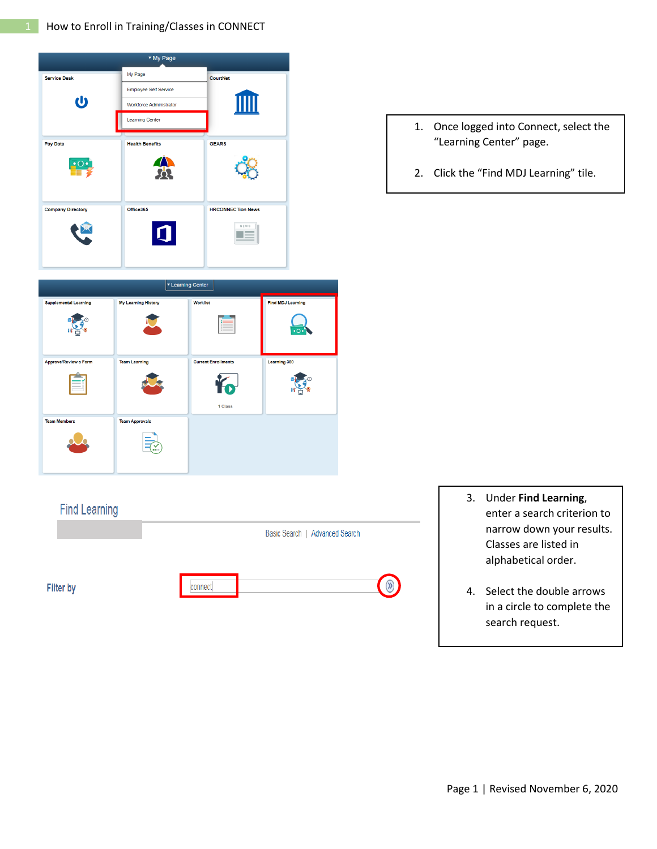

|                              | ▼ Learning Center          |                            |                          |
|------------------------------|----------------------------|----------------------------|--------------------------|
| <b>Supplemental Learning</b> | <b>My Learning History</b> | <b>Worklist</b>            | <b>Find MDJ Learning</b> |
|                              |                            |                            | $\cdot$ o $\cdot$        |
| Approve/Review a Form        | <b>Team Learning</b>       | <b>Current Enrollments</b> | Learning 360             |
| - 0                          |                            | 1 Class                    |                          |
| <b>Team Members</b>          | <b>Team Approvals</b>      |                            |                          |
|                              |                            |                            |                          |

connect

Basic Search | Advanced Search

 $\circledR$ 

**Find Learning** 

**Filter by** 

- 1. Once logged into Connect, select the "Learning Center" page.
- 2. Click the "Find MDJ Learning" tile.

- 3. Under **Find Learning**, enter a search criterion to narrow down your results. Classes are listed in alphabetical order.
- 4. Select the double arrows in a circle to complete the search request.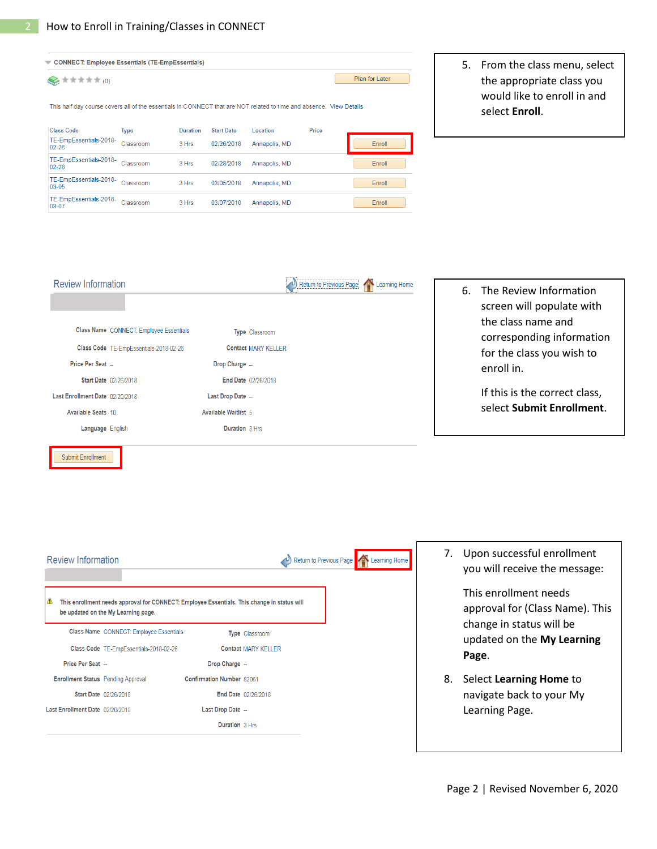| CONNECT: Employee Essentials (TE-EmpEssentials)                                                                     |             |                 |                   |               |       |                |  |
|---------------------------------------------------------------------------------------------------------------------|-------------|-----------------|-------------------|---------------|-------|----------------|--|
| ★ ★ ★ ★ ★ (0)                                                                                                       |             |                 |                   |               |       | Plan for Later |  |
| This half day course covers all of the essentials in CONNECT that are NOT related to time and absence. View Details |             |                 |                   |               |       |                |  |
| <b>Class Code</b>                                                                                                   | <b>Type</b> | <b>Duration</b> | <b>Start Date</b> | Location      | Price |                |  |
| TE-EmpEssentials-2018-<br>$02 - 26$                                                                                 | Classroom   | 3 Hrs           | 02/26/2018        | Annapolis, MD |       | Enroll         |  |
| TE-EmpEssentials-2018-<br>$02-28$                                                                                   | Classroom   | 3 Hrs           | 02/28/2018        | Annapolis, MD |       | Enroll         |  |
| TE-EmpEssentials-2018-<br>$03-05$                                                                                   | Classroom   | 3 Hrs           | 03/05/2018        | Annapolis, MD |       | Enroll         |  |
| TE-EmpEssentials-2018-<br>$03-07$                                                                                   | Classroom   | 3 Hrs           | 03/07/2018        | Annapolis, MD |       | Enroll         |  |

5. From the class menu, select the appropriate class you would like to enroll in and select **Enroll**.



6. The Review Information screen will populate with the class name and corresponding information for the class you wish to enroll in.

> If this is the correct class, select **Submit Enrollment**.

| <b>Review Information</b>                 |                                                                                                                                    |                           |                            | Return to Previous Page | Learning Home |
|-------------------------------------------|------------------------------------------------------------------------------------------------------------------------------------|---------------------------|----------------------------|-------------------------|---------------|
|                                           | This enrollment needs approval for CONNECT: Employee Essentials. This change in status will<br>be updated on the My Learning page. |                           |                            |                         |               |
|                                           | Class Name CONNECT: Employee Essentials                                                                                            |                           | Type Classroom             |                         |               |
|                                           | Class Code TE-EmpEssentials-2018-02-26                                                                                             |                           | <b>Contact MARY KELLER</b> |                         |               |
| Price Per Seat                            |                                                                                                                                    | Drop Charge --            |                            |                         |               |
| <b>Enrollment Status</b> Pending Approval |                                                                                                                                    | Confirmation Number 82061 |                            |                         |               |
|                                           | Start Date 02/26/2018                                                                                                              |                           | End Date 02/26/2018        |                         |               |
| Last Enrollment Date 02/20/2018           |                                                                                                                                    | Last Drop Date --         |                            |                         |               |
|                                           |                                                                                                                                    | Duration 3 Hrs            |                            |                         |               |

7. Upon successful enrollment you will receive the message:

> This enrollment needs approval for (Class Name). This change in status will be updated on the **My Learning Page**.

8. Select **Learning Home** to navigate back to your My Learning Page.